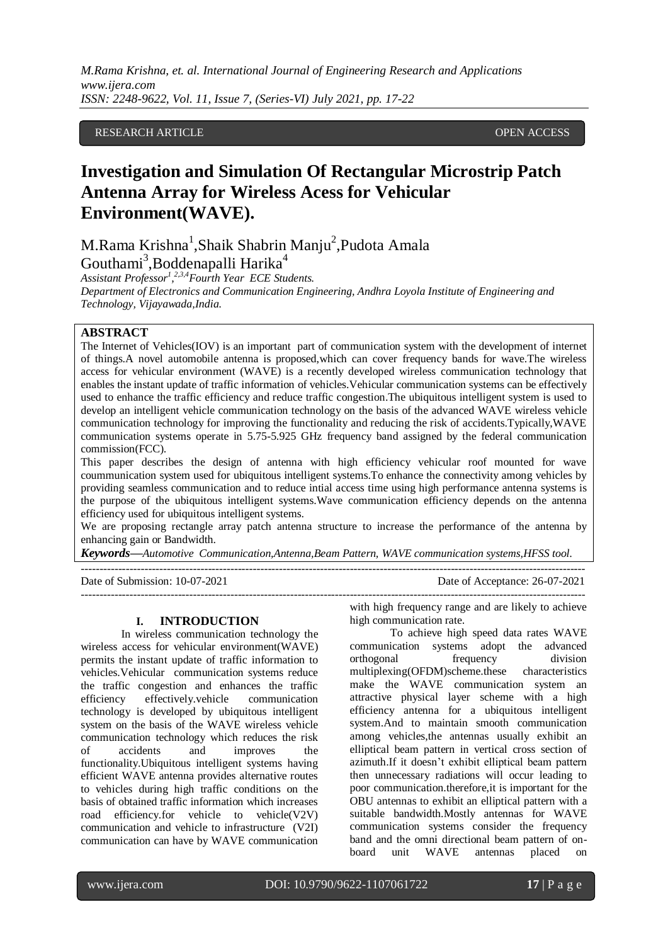*M.Rama Krishna, et. al. International Journal of Engineering Research and Applications www.ijera.com ISSN: 2248-9622, Vol. 11, Issue 7, (Series-VI) July 2021, pp. 17-22*

## RESEARCH ARTICLE OPEN ACCESS

# **Investigation and Simulation Of Rectangular Microstrip Patch Antenna Array for Wireless Acess for Vehicular Environment(WAVE).**

M.Rama Krishna<sup>1</sup>,Shaik Shabrin Manju<sup>2</sup>,Pudota Amala Gouthami<sup>3</sup>, Boddenapalli Harika<sup>4</sup>

*Assistant Professor<sup>1</sup> , 2,3,4Fourth Year ECE Students. Department of Electronics and Communication Engineering, Andhra Loyola Institute of Engineering and Technology, Vijayawada,India.*

## **ABSTRACT**

The Internet of Vehicles(IOV) is an important part of communication system with the development of internet of things.A novel automobile antenna is proposed,which can cover frequency bands for wave.The wireless access for vehicular environment (WAVE) is a recently developed wireless communication technology that enables the instant update of traffic information of vehicles.Vehicular communication systems can be effectively used to enhance the traffic efficiency and reduce traffic congestion.The ubiquitous intelligent system is used to develop an intelligent vehicle communication technology on the basis of the advanced WAVE wireless vehicle communication technology for improving the functionality and reducing the risk of accidents.Typically,WAVE communication systems operate in 5.75-5.925 GHz frequency band assigned by the federal communication commission(FCC).

This paper describes the design of antenna with high efficiency vehicular roof mounted for wave coummunication system used for ubiquitous intelligent systems.To enhance the connectivity among vehicles by providing seamless communication and to reduce intial access time using high performance antenna systems is the purpose of the ubiquitous intelligent systems.Wave communication efficiency depends on the antenna efficiency used for ubiquitous intelligent systems.

We are proposing rectangle array patch antenna structure to increase the performance of the antenna by enhancing gain or Bandwidth.

---------------------------------------------------------------------------------------------------------------------------------------

*Keywords—Automotive Communication,Antenna,Beam Pattern, WAVE communication systems,HFSS tool.* ---------------------------------------------------------------------------------------------------------------------------------------

Date of Submission: 10-07-2021 Date of Acceptance: 26-07-2021

#### **I. INTRODUCTION**

In wireless communication technology the wireless access for vehicular environment(WAVE) permits the instant update of traffic information to vehicles.Vehicular communication systems reduce the traffic congestion and enhances the traffic efficiency effectively.vehicle communication technology is developed by ubiquitous intelligent system on the basis of the WAVE wireless vehicle communication technology which reduces the risk of accidents and improves the functionality.Ubiquitous intelligent systems having efficient WAVE antenna provides alternative routes to vehicles during high traffic conditions on the basis of obtained traffic information which increases road efficiency.for vehicle to vehicle(V2V) communication and vehicle to infrastructure (V2I) communication can have by WAVE communication

with high frequency range and are likely to achieve high communication rate.

To achieve high speed data rates WAVE communication systems adopt the advanced orthogonal frequency division multiplexing(OFDM)scheme.these characteristics make the WAVE communication system an attractive physical layer scheme with a high efficiency antenna for a ubiquitous intelligent system.And to maintain smooth communication among vehicles,the antennas usually exhibit an elliptical beam pattern in vertical cross section of azimuth.If it doesn't exhibit elliptical beam pattern then unnecessary radiations will occur leading to poor communication.therefore,it is important for the OBU antennas to exhibit an elliptical pattern with a suitable bandwidth.Mostly antennas for WAVE communication systems consider the frequency band and the omni directional beam pattern of onboard unit WAVE antennas placed on

l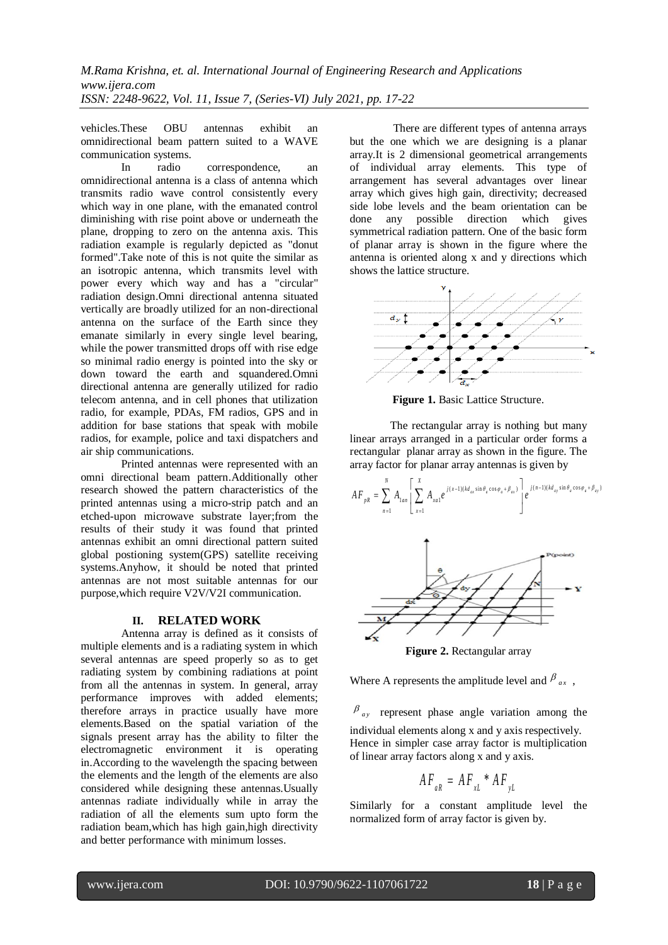vehicles.These OBU antennas exhibit an omnidirectional beam pattern suited to a WAVE communication systems.

 In radio correspondence, an omnidirectional antenna is a class of antenna which transmits radio wave control consistently every which way in one plane, with the emanated control diminishing with rise point above or underneath the plane, dropping to zero on the antenna axis. This radiation example is regularly depicted as "donut formed".Take note of this is not quite the similar as an isotropic antenna, which transmits level with power every which way and has a "circular" radiation design.Omni directional antenna situated vertically are broadly utilized for an non-directional antenna on the surface of the Earth since they emanate similarly in every single level bearing, while the power transmitted drops off with rise edge so minimal radio energy is pointed into the sky or down toward the earth and squandered.Omni directional antenna are generally utilized for radio telecom antenna, and in cell phones that utilization radio, for example, PDAs, FM radios, GPS and in addition for base stations that speak with mobile radios, for example, police and taxi dispatchers and air ship communications.

 Printed antennas were represented with an omni directional beam pattern.Additionally other research showed the pattern characteristics of the printed antennas using a micro-strip patch and an etched-upon microwave substrate layer;from the results of their study it was found that printed antennas exhibit an omni directional pattern suited global postioning system(GPS) satellite receiving systems.Anyhow, it should be noted that printed antennas are not most suitable antennas for our purpose,which require V2V/V2I communication.

## **II. RELATED WORK**

Antenna array is defined as it consists of multiple elements and is a radiating system in which several antennas are speed properly so as to get radiating system by combining radiations at point from all the antennas in system. In general, array performance improves with added elements; therefore arrays in practice usually have more elements.Based on the spatial variation of the signals present array has the ability to filter the electromagnetic environment it is operating in.According to the wavelength the spacing between the elements and the length of the elements are also considered while designing these antennas.Usually antennas radiate individually while in array the radiation of all the elements sum upto form the radiation beam,which has high gain,high directivity and better performance with minimum losses.

 There are different types of antenna arrays but the one which we are designing is a planar array.It is 2 dimensional geometrical arrangements of individual array elements. This type of arrangement has several advantages over linear array which gives high gain, directivity; decreased side lobe levels and the beam orientation can be done any possible direction which gives symmetrical radiation pattern. One of the basic form of planar array is shown in the figure where the antenna is oriented along x and y directions which shows the lattice structure.



**Figure 1.** Basic Lattice Structure.

The rectangular array is nothing but many linear arrays arranged in a particular order forms a rectangular planar array as shown in the figure. The array factor for planar array antennas is given by



**Figure 2.** Rectangular array

Where A represents the amplitude level and  $\beta_{ax}$ ,

 $\beta_{ay}$  represent phase angle variation among the individual elements along x and y axis respectively. Hence in simpler case array factor is multiplication of linear array factors along x and y axis.

$$
AF_{aR} = AF_{xL} * AF_{yL}
$$

Similarly for a constant amplitude level the normalized form of array factor is given by.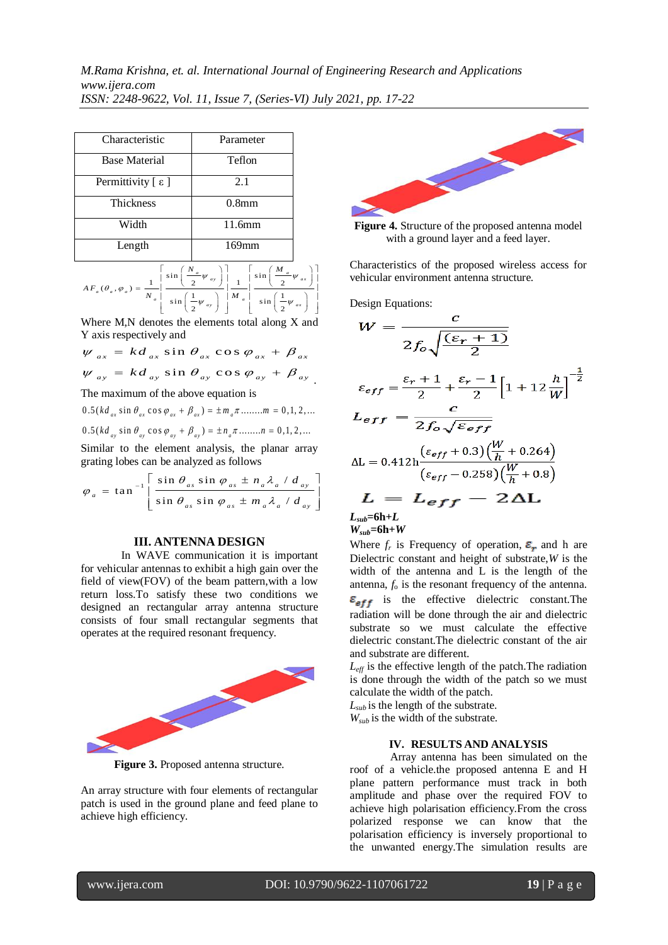| Characteristic                 | Parameter         |
|--------------------------------|-------------------|
| <b>Base Material</b>           | Teflon            |
| Permittivity $[ \varepsilon ]$ | 2.1               |
| <b>Thickness</b>               | 0.8 <sub>mm</sub> |
| Width                          | 11.6mm            |
| Length                         | $169$ mm          |

$$
AF_a(\theta_a, \varphi_a) = \frac{1}{N_a} \left[ \frac{\sin\left(\frac{N_a}{2}\psi_{ay}\right)}{\sin\left(\frac{1}{2}\psi_{ay}\right)} \right] \frac{1}{M_a} \left[ \frac{\sin\left(\frac{M_a}{2}\psi_{ax}\right)}{\sin\left(\frac{1}{2}\psi_{ax}\right)} \right]
$$

Where M,N denotes the elements total along X and Y axis respectively and

and  $\sin \theta_{ax} \cos \theta$ Y axis respectively and<br>  $\psi_{ax} = k d_{ax} \sin \theta_{ax} \cos \varphi_{ax} + \beta_{ax}$ respectively and<br>=  $k d_{ax} \sin \theta_{ax} \cos \varphi_{ax} + \beta_a$ 

Y axis respectively and  
\n
$$
\psi_{ax} = k d_{ax} \sin \theta_{ax} \cos \varphi_{ax} + \beta_{ax}
$$
\n
$$
\psi_{ay} = k d_{ay} \sin \theta_{ay} \cos \varphi_{ay} + \beta_{ay}
$$

The maximum of the above equation is

The maximum of the above equation is<br>0.5 ( $kd_{ax} \sin \theta_{ax} \cos \varphi_{ax} + \beta_{ax} = \pm m_a \pi ... ... . . . . . . . . .$ 0.5 ( $k d_{ax} \sin \theta_{ax} \cos \phi_{ax} + \beta_{ax} \sin \theta_{ax} \sin \theta_{ax}$  ......... *m* = 0,1, 2, ...<br>0.5 ( $k d_{ay} \sin \theta_{ay} \cos \phi_{ay} + \beta_{ay} \cos \theta_{ax} + \pi_{ay} \sin \theta_{ay}$  ........ *n* = 0,1, 2, ...

Similar to the element analysis, the planar array

grating lobes can be analyzed as follows  
\n
$$
\varphi_a = \tan^{-1} \left[ \frac{\sin \theta_{as} \sin \varphi_{as} \pm n_a \lambda_a / d_{ay}}{\sin \theta_{as} \sin \varphi_{as} \pm m_a \lambda_a / d_{ay}} \right]
$$

## **III. ANTENNA DESIGN**

In WAVE communication it is important for vehicular antennas to exhibit a high gain over the field of view(FOV) of the beam pattern,with a low return loss.To satisfy these two conditions we designed an rectangular array antenna structure consists of four small rectangular segments that operates at the required resonant frequency.



**Figure 3.** Proposed antenna structure.

An array structure with four elements of rectangular patch is used in the ground plane and feed plane to achieve high efficiency.



**Figure 4.** Structure of the proposed antenna model with a ground layer and a feed layer.

Characteristics of the proposed wireless access for vehicular environment antenna structure.

Design Equations:

$$
W = \frac{c}{2f_o\sqrt{\frac{(\varepsilon_r + 1)}{2}}}
$$
  
\n
$$
\varepsilon_{eff} = \frac{\varepsilon_r + 1}{2} + \frac{\varepsilon_r - 1}{2} \left[1 + 12\frac{h}{W}\right]^{-\frac{1}{2}}
$$
  
\n
$$
L_{eff} = \frac{c}{2f_o\sqrt{\varepsilon_{eff}}}
$$
  
\n
$$
\Delta L = 0.412h \frac{(\varepsilon_{eff} + 0.3)\left(\frac{W}{h} + 0.264\right)}{(\varepsilon_{eff} - 0.258)\left(\frac{W}{h} + 0.8\right)}
$$
  
\n
$$
L = L_{eff} - 2\Delta L
$$

 $L_{sub}$ =6h+ $L$  $W_{sub} = 6h + W$ 

Where  $f_r$  is Frequency of operation,  $\varepsilon_r$  and h are Dielectric constant and height of substrate,*W* is the width of the antenna and L is the length of the antenna, *f*<sup>o</sup> is the resonant frequency of the antenna.  $\varepsilon_{eff}$  is the effective dielectric constant. The radiation will be done through the air and dielectric substrate so we must calculate the effective dielectric constant.The dielectric constant of the air and substrate are different.

*Leff* is the effective length of the patch.The radiation is done through the width of the patch so we must calculate the width of the patch.

 $L_{sub}$  is the length of the substrate.

 $W_{sub}$  is the width of the substrate.

#### **IV. RESULTS AND ANALYSIS**

Array antenna has been simulated on the roof of a vehicle.the proposed antenna E and H plane pattern performance must track in both amplitude and phase over the required FOV to achieve high polarisation efficiency.From the cross polarized response we can know that the polarisation efficiency is inversely proportional to the unwanted energy.The simulation results are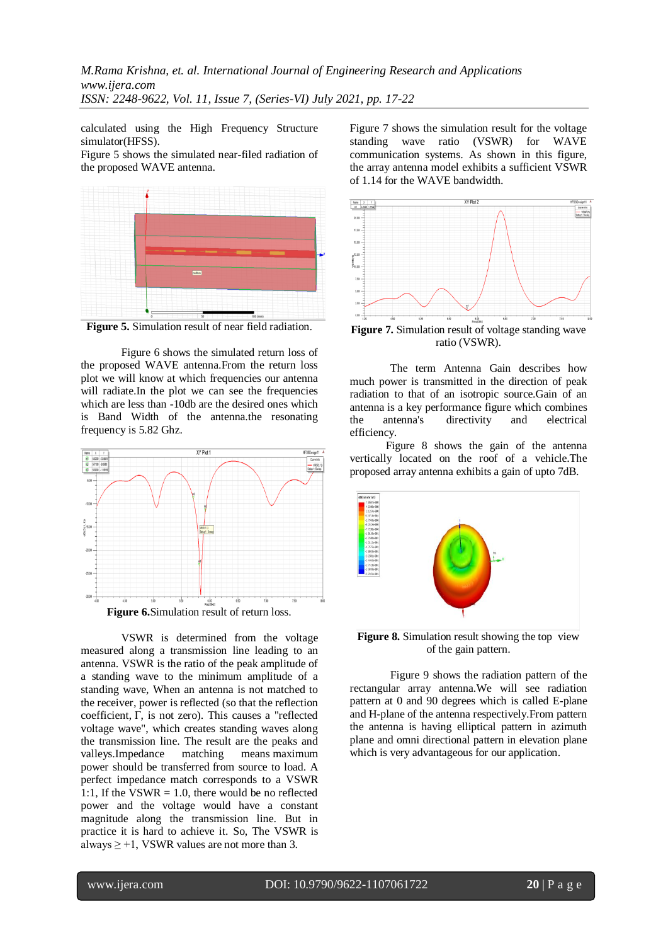calculated using the High Frequency Structure simulator(HFSS).

Figure 5 shows the simulated near-filed radiation of the proposed WAVE antenna.



**Figure 5.** Simulation result of near field radiation.

Figure 6 shows the simulated return loss of the proposed WAVE antenna.From the return loss plot we will know at which frequencies our antenna will radiate.In the plot we can see the frequencies which are less than -10db are the desired ones which is Band Width of the antenna.the resonating frequency is 5.82 Ghz.



VSWR is determined from the voltage measured along a transmission line leading to an antenna. VSWR is the ratio of the peak amplitude of a standing wave to the minimum amplitude of a standing wave, When an antenna is not matched to the receiver, power is reflected (so that the reflection coefficient, Γ, is not zero). This causes a "reflected voltage wave", which creates standing waves along the transmission line. The result are the peaks and valleys.Impedance matching means maximum power should be transferred from source to load. A perfect impedance match corresponds to a VSWR 1:1, If the VSWR  $= 1.0$ , there would be no reflected power and the voltage would have a constant magnitude along the transmission line. But in practice it is hard to achieve it. So, The VSWR is always  $\geq$  +1, VSWR values are not more than 3.

Figure 7 shows the simulation result for the voltage standing wave ratio (VSWR) for WAVE communication systems. As shown in this figure, the array antenna model exhibits a sufficient VSWR of 1.14 for the WAVE bandwidth.



**Figure 7.** Simulation result of voltage standing wave ratio (VSWR).

The term Antenna Gain describes how much power is transmitted in the direction of peak radiation to that of an isotropic source.Gain of an antenna is a key performance figure which combines the antenna's directivity and electrical efficiency.

 Figure 8 shows the gain of the antenna vertically located on the roof of a vehicle.The proposed array antenna exhibits a gain of upto 7dB.



**Figure 8.** Simulation result showing the top view of the gain pattern.

Figure 9 shows the radiation pattern of the rectangular array antenna.We will see radiation pattern at 0 and 90 degrees which is called E-plane and H-plane of the antenna respectively.From pattern the antenna is having elliptical pattern in azimuth plane and omni directional pattern in elevation plane which is very advantageous for our application.

l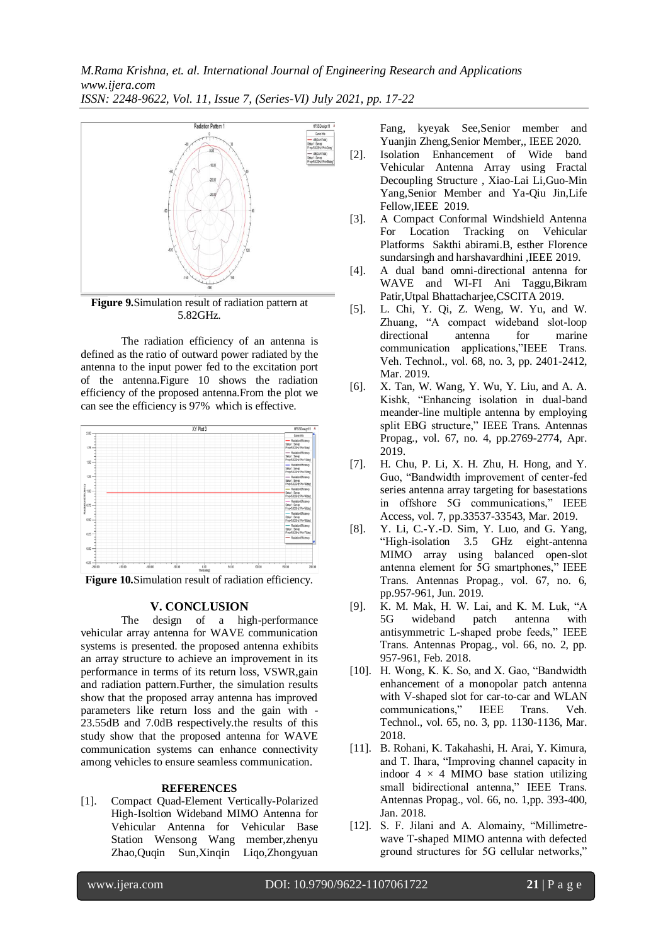*M.Rama Krishna, et. al. International Journal of Engineering Research and Applications www.ijera.com*

*ISSN: 2248-9622, Vol. 11, Issue 7, (Series-VI) July 2021, pp. 17-22*



**Figure 9.**Simulation result of radiation pattern at 5.82GHz.

The radiation efficiency of an antenna is defined as the ratio of outward power radiated by the antenna to the input power fed to the excitation port of the antenna.Figure 10 shows the radiation efficiency of the proposed antenna.From the plot we can see the efficiency is 97% which is effective.



Figure 10.Simulation result of radiation efficiency.

## **V. CONCLUSION**

The design of a high-performance vehicular array antenna for WAVE communication systems is presented. the proposed antenna exhibits an array structure to achieve an improvement in its performance in terms of its return loss, VSWR,gain and radiation pattern.Further, the simulation results show that the proposed array antenna has improved parameters like return loss and the gain with - 23.55dB and 7.0dB respectively.the results of this study show that the proposed antenna for WAVE communication systems can enhance connectivity among vehicles to ensure seamless communication.

#### **REFERENCES**

[1]. Compact Quad-Element Vertically-Polarized High-Isoltion Wideband MIMO Antenna for Vehicular Antenna for Vehicular Base Station Wensong Wang member,zhenyu Zhao,Quqin Sun,Xinqin Liqo,Zhongyuan

Fang, kyeyak See,Senior member and Yuanjin Zheng,Senior Member,, IEEE 2020.

- [2]. Isolation Enhancement of Wide band Vehicular Antenna Array using Fractal Decoupling Structure , Xiao-Lai Li,Guo-Min Yang,Senior Member and Ya-Qiu Jin,Life Fellow,IEEE 2019.
- [3]. A Compact Conformal Windshield Antenna For Location Tracking on Vehicular Platforms Sakthi abirami.B, esther Florence sundarsingh and harshavardhini ,IEEE 2019.
- [4]. A dual band omni-directional antenna for WAVE and WI-FI Ani Taggu,Bikram Patir,Utpal Bhattacharjee,CSCITA 2019.
- [5]. L. Chi, Y. Qi, Z. Weng, W. Yu, and W. Zhuang, "A compact wideband slot-loop directional antenna for marine communication applications,"IEEE Trans. Veh. Technol., vol. 68, no. 3, pp. 2401-2412, Mar. 2019.
- [6]. X. Tan, W. Wang, Y. Wu, Y. Liu, and A. A. Kishk, "Enhancing isolation in dual-band meander-line multiple antenna by employing split EBG structure," IEEE Trans. Antennas Propag., vol. 67, no. 4, pp.2769-2774, Apr. 2019.
- [7]. H. Chu, P. Li, X. H. Zhu, H. Hong, and Y. Guo, "Bandwidth improvement of center-fed series antenna array targeting for basestations in offshore 5G communications," IEEE Access, vol. 7, pp.33537-33543, Mar. 2019.
- [8]. Y. Li, C.-Y.-D. Sim, Y. Luo, and G. Yang, "High-isolation 3.5 GHz eight-antenna MIMO array using balanced open-slot antenna element for 5G smartphones," IEEE Trans. Antennas Propag., vol. 67, no. 6, pp.957-961, Jun. 2019.
- [9]. K. M. Mak, H. W. Lai, and K. M. Luk, "A 5G wideband patch antenna with antisymmetric L-shaped probe feeds," IEEE Trans. Antennas Propag., vol. 66, no. 2, pp. 957-961, Feb. 2018.
- [10]. H. Wong, K. K. So, and X. Gao, "Bandwidth enhancement of a monopolar patch antenna with V-shaped slot for car-to-car and WLAN communications," IEEE Trans. Veh. Technol., vol. 65, no. 3, pp. 1130-1136, Mar. 2018.
- [11]. B. Rohani, K. Takahashi, H. Arai, Y. Kimura, and T. Ihara, "Improving channel capacity in indoor  $4 \times 4$  MIMO base station utilizing small bidirectional antenna," IEEE Trans. Antennas Propag., vol. 66, no. 1,pp. 393-400, Jan. 2018.
- [12]. S. F. Jilani and A. Alomainy, "Millimetrewave T-shaped MIMO antenna with defected ground structures for 5G cellular networks,"